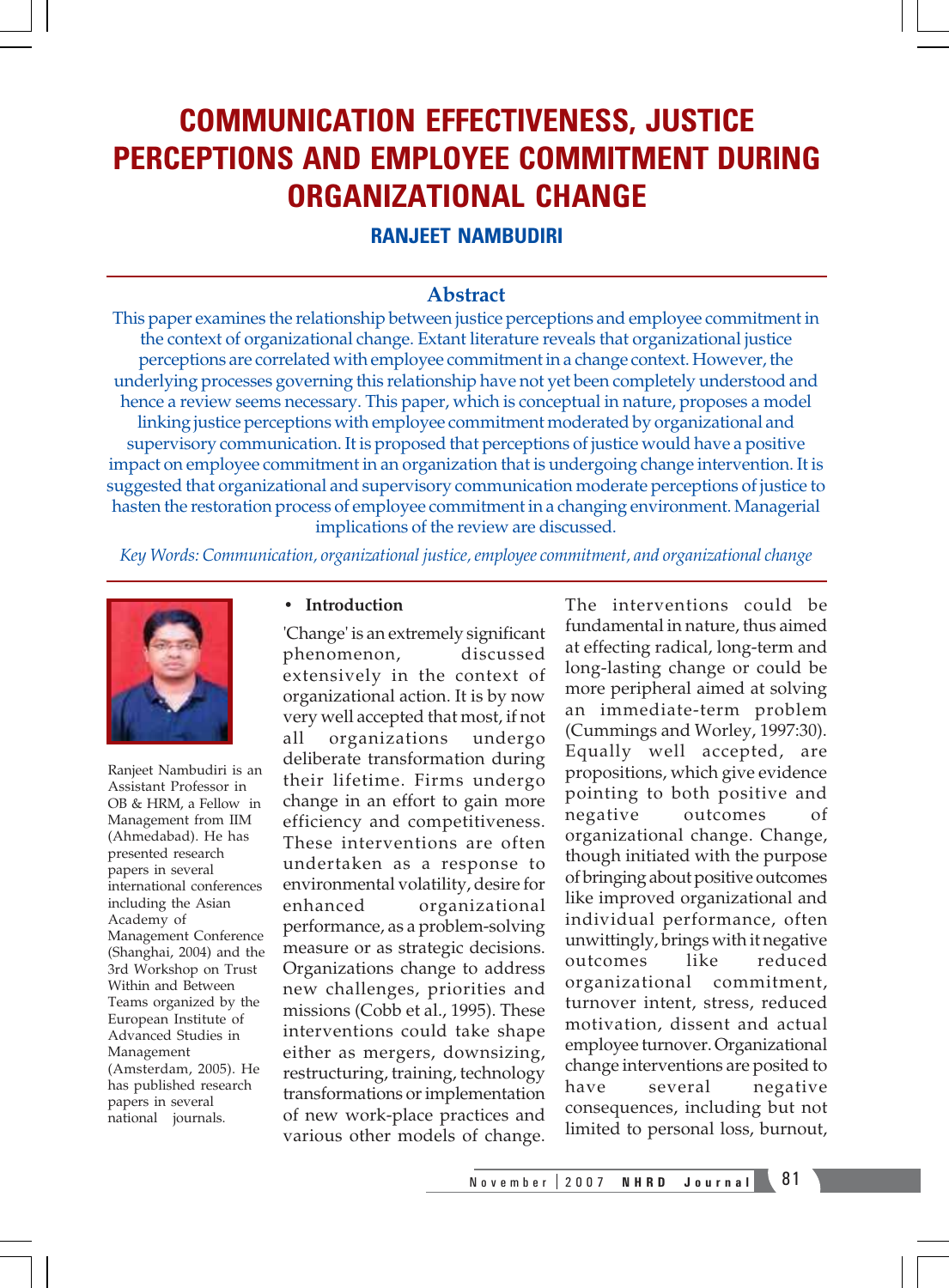# COMMUNICATION EFFECTIVENESS, JUSTICE PERCEPTIONS AND EMPLOYEE COMMITMENT DURING ORGANIZATIONAL CHANGE

## RANJEET NAMBUDIRI

### **Abstract**

This paper examines the relationship between justice perceptions and employee commitment in the context of organizational change. Extant literature reveals that organizational justice perceptions are correlated with employee commitment in a change context. However, the underlying processes governing this relationship have not yet been completely understood and hence a review seems necessary. This paper, which is conceptual in nature, proposes a model linking justice perceptions with employee commitment moderated by organizational and supervisory communication. It is proposed that perceptions of justice would have a positive impact on employee commitment in an organization that is undergoing change intervention. It is suggested that organizational and supervisory communication moderate perceptions of justice to hasten the restoration process of employee commitment in a changing environment. Managerial implications of the review are discussed.

*Key Words: Communication, organizational justice, employee commitment, and organizational change*



Ranjeet Nambudiri is an Assistant Professor in OB & HRM, a Fellow in Management from IIM (Ahmedabad). He has presented research papers in several international conferences including the Asian Academy of Management Conference (Shanghai, 2004) and the 3rd Workshop on Trust Within and Between Teams organized by the European Institute of Advanced Studies in Management (Amsterdam, 2005). He has published research papers in several national journals.

#### • **Introduction**

'Change' is an extremely significant phenomenon, discussed extensively in the context of organizational action. It is by now very well accepted that most, if not all organizations undergo deliberate transformation during their lifetime. Firms undergo change in an effort to gain more efficiency and competitiveness. These interventions are often undertaken as a response to environmental volatility, desire for enhanced organizational performance, as a problem-solving measure or as strategic decisions. Organizations change to address new challenges, priorities and missions (Cobb et al., 1995). These interventions could take shape either as mergers, downsizing, restructuring, training, technology transformations or implementation of new work-place practices and various other models of change.

The interventions could be fundamental in nature, thus aimed at effecting radical, long-term and long-lasting change or could be more peripheral aimed at solving an immediate-term problem (Cummings and Worley, 1997:30). Equally well accepted, are propositions, which give evidence pointing to both positive and negative outcomes organizational change. Change, though initiated with the purpose of bringing about positive outcomes like improved organizational and individual performance, often unwittingly, brings with it negative outcomes like reduced organizational commitment, turnover intent, stress, reduced motivation, dissent and actual employee turnover. Organizational change interventions are posited to have several negative consequences, including but not limited to personal loss, burnout,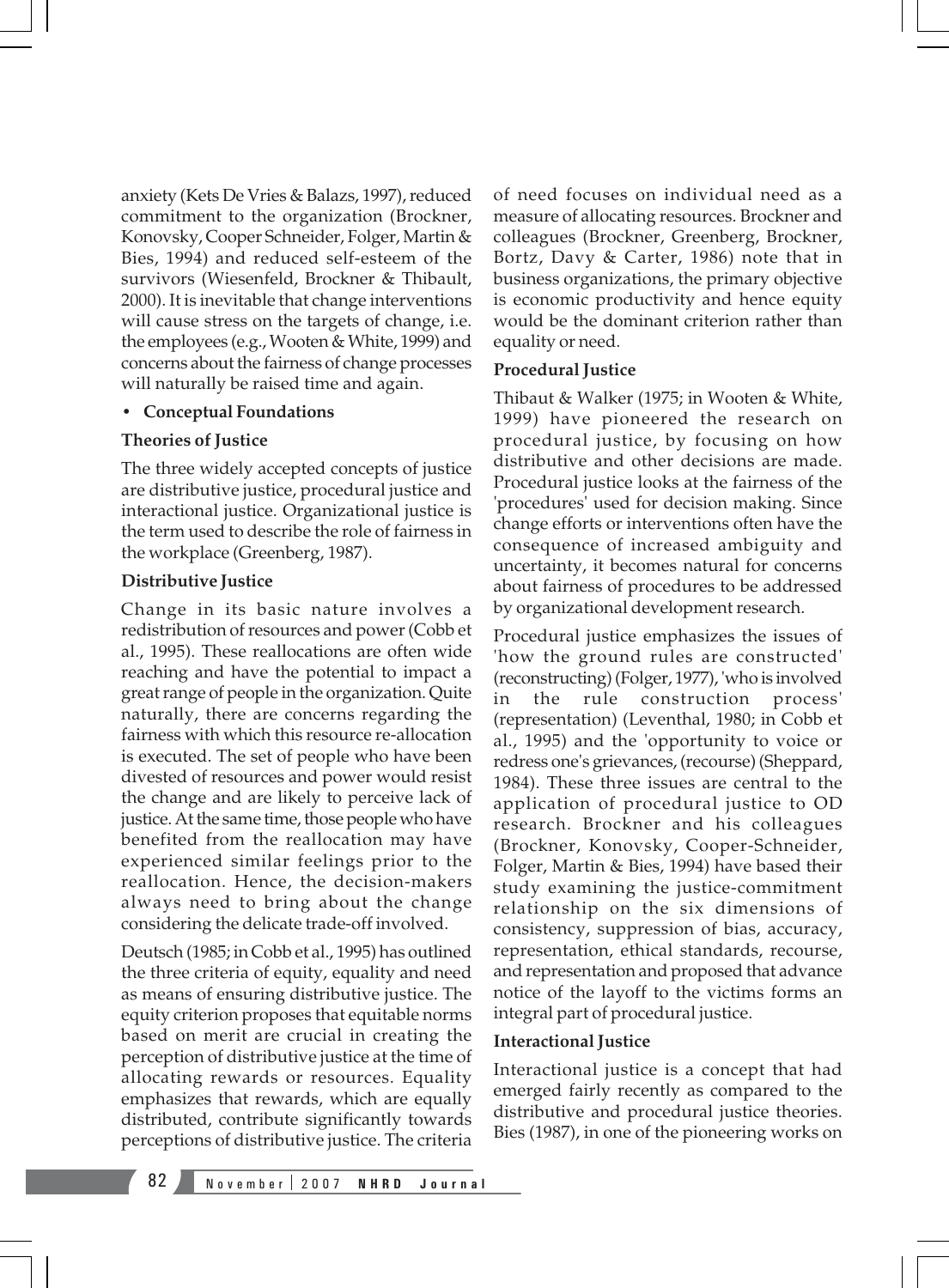anxiety (Kets De Vries & Balazs, 1997), reduced commitment to the organization (Brockner, Konovsky, Cooper Schneider, Folger, Martin & Bies, 1994) and reduced self-esteem of the survivors (Wiesenfeld, Brockner & Thibault, 2000). It is inevitable that change interventions will cause stress on the targets of change, i.e. the employees (e.g., Wooten & White, 1999) and concerns about the fairness of change processes will naturally be raised time and again.

#### • **Conceptual Foundations**

#### **Theories of Justice**

The three widely accepted concepts of justice are distributive justice, procedural justice and interactional justice. Organizational justice is the term used to describe the role of fairness in the workplace (Greenberg, 1987).

#### **Distributive Justice**

Change in its basic nature involves a redistribution of resources and power (Cobb et al., 1995). These reallocations are often wide reaching and have the potential to impact a great range of people in the organization. Quite naturally, there are concerns regarding the fairness with which this resource re-allocation is executed. The set of people who have been divested of resources and power would resist the change and are likely to perceive lack of justice. At the same time, those people who have benefited from the reallocation may have experienced similar feelings prior to the reallocation. Hence, the decision-makers always need to bring about the change considering the delicate trade-off involved.

Deutsch (1985; in Cobb et al., 1995) has outlined the three criteria of equity, equality and need as means of ensuring distributive justice. The equity criterion proposes that equitable norms based on merit are crucial in creating the perception of distributive justice at the time of allocating rewards or resources. Equality emphasizes that rewards, which are equally distributed, contribute significantly towards perceptions of distributive justice. The criteria

of need focuses on individual need as a measure of allocating resources. Brockner and colleagues (Brockner, Greenberg, Brockner, Bortz, Davy & Carter, 1986) note that in business organizations, the primary objective is economic productivity and hence equity would be the dominant criterion rather than equality or need.

#### **Procedural Justice**

Thibaut & Walker (1975; in Wooten & White, 1999) have pioneered the research on procedural justice, by focusing on how distributive and other decisions are made. Procedural justice looks at the fairness of the 'procedures' used for decision making. Since change efforts or interventions often have the consequence of increased ambiguity and uncertainty, it becomes natural for concerns about fairness of procedures to be addressed by organizational development research.

Procedural justice emphasizes the issues of 'how the ground rules are constructed' (reconstructing) (Folger, 1977), 'who is involved in the rule construction process' (representation) (Leventhal, 1980; in Cobb et al., 1995) and the 'opportunity to voice or redress one's grievances, (recourse) (Sheppard, 1984). These three issues are central to the application of procedural justice to OD research. Brockner and his colleagues (Brockner, Konovsky, Cooper-Schneider, Folger, Martin & Bies, 1994) have based their study examining the justice-commitment relationship on the six dimensions of consistency, suppression of bias, accuracy, representation, ethical standards, recourse, and representation and proposed that advance notice of the layoff to the victims forms an integral part of procedural justice.

#### **Interactional Justice**

Interactional justice is a concept that had emerged fairly recently as compared to the distributive and procedural justice theories. Bies (1987), in one of the pioneering works on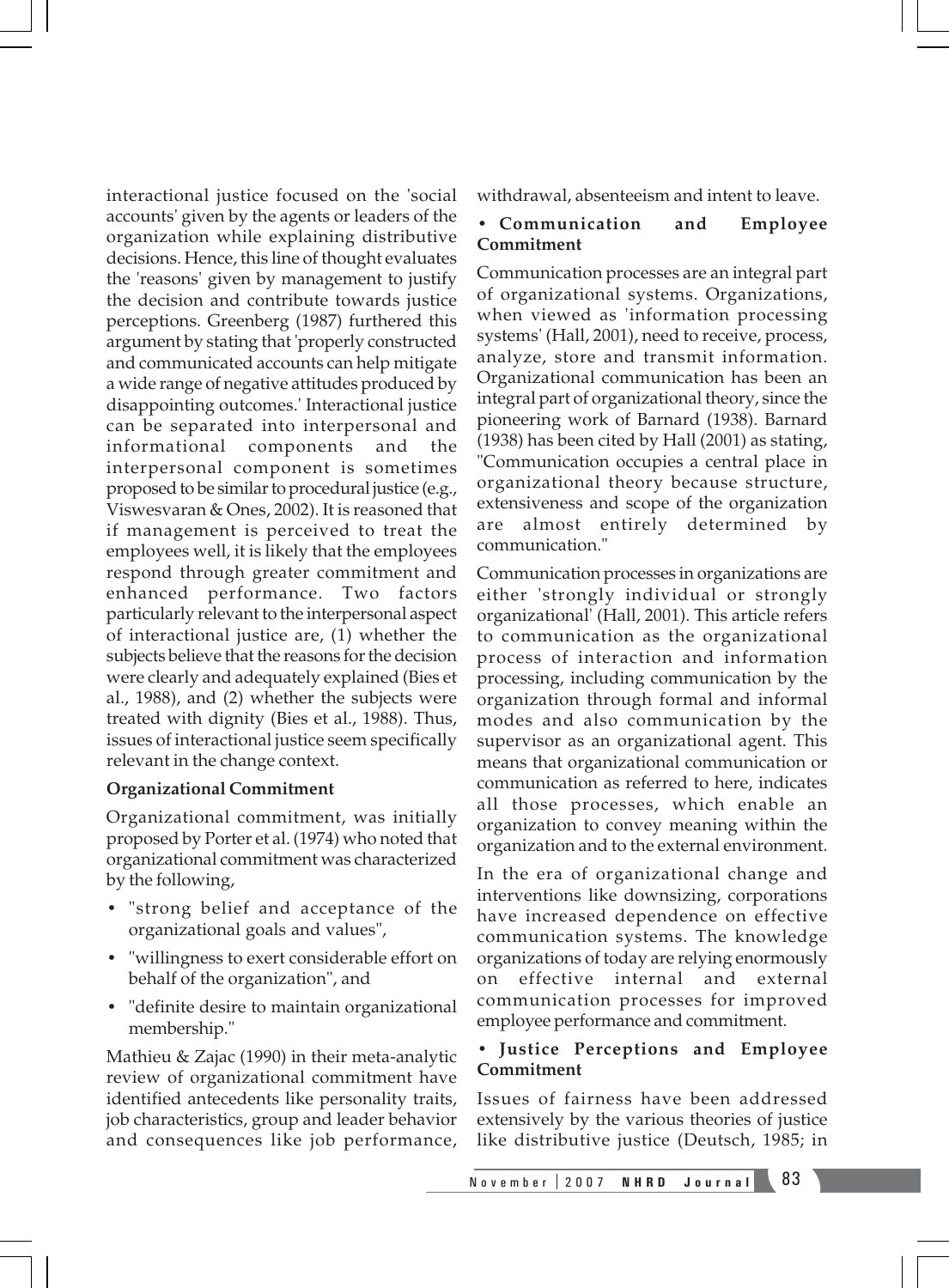interactional justice focused on the 'social accounts' given by the agents or leaders of the organization while explaining distributive decisions. Hence, this line of thought evaluates the 'reasons' given by management to justify the decision and contribute towards justice perceptions. Greenberg (1987) furthered this argument by stating that 'properly constructed and communicated accounts can help mitigate a wide range of negative attitudes produced by disappointing outcomes.' Interactional justice can be separated into interpersonal and informational components and the interpersonal component is sometimes proposed to be similar to procedural justice (e.g., Viswesvaran & Ones, 2002). It is reasoned that if management is perceived to treat the employees well, it is likely that the employees respond through greater commitment and enhanced performance. Two factors particularly relevant to the interpersonal aspect of interactional justice are, (1) whether the subjects believe that the reasons for the decision were clearly and adequately explained (Bies et al., 1988), and (2) whether the subjects were treated with dignity (Bies et al., 1988). Thus, issues of interactional justice seem specifically relevant in the change context.

#### **Organizational Commitment**

Organizational commitment, was initially proposed by Porter et al. (1974) who noted that organizational commitment was characterized by the following,

- "strong belief and acceptance of the organizational goals and values",
- "willingness to exert considerable effort on behalf of the organization", and
- "definite desire to maintain organizational membership."

Mathieu & Zajac (1990) in their meta-analytic review of organizational commitment have identified antecedents like personality traits, job characteristics, group and leader behavior and consequences like job performance, withdrawal, absenteeism and intent to leave.

#### **• Communication and Employee Commitment**

Communication processes are an integral part of organizational systems. Organizations, when viewed as 'information processing systems' (Hall, 2001), need to receive, process, analyze, store and transmit information. Organizational communication has been an integral part of organizational theory, since the pioneering work of Barnard (1938). Barnard (1938) has been cited by Hall (2001) as stating, "Communication occupies a central place in organizational theory because structure, extensiveness and scope of the organization are almost entirely determined by communication."

Communication processes in organizations are either 'strongly individual or strongly organizational' (Hall, 2001). This article refers to communication as the organizational process of interaction and information processing, including communication by the organization through formal and informal modes and also communication by the supervisor as an organizational agent. This means that organizational communication or communication as referred to here, indicates all those processes, which enable an organization to convey meaning within the organization and to the external environment.

In the era of organizational change and interventions like downsizing, corporations have increased dependence on effective communication systems. The knowledge organizations of today are relying enormously on effective internal and external communication processes for improved employee performance and commitment.

#### • **Justice Perceptions and Employee Commitment**

Issues of fairness have been addressed extensively by the various theories of justice like distributive justice (Deutsch, 1985; in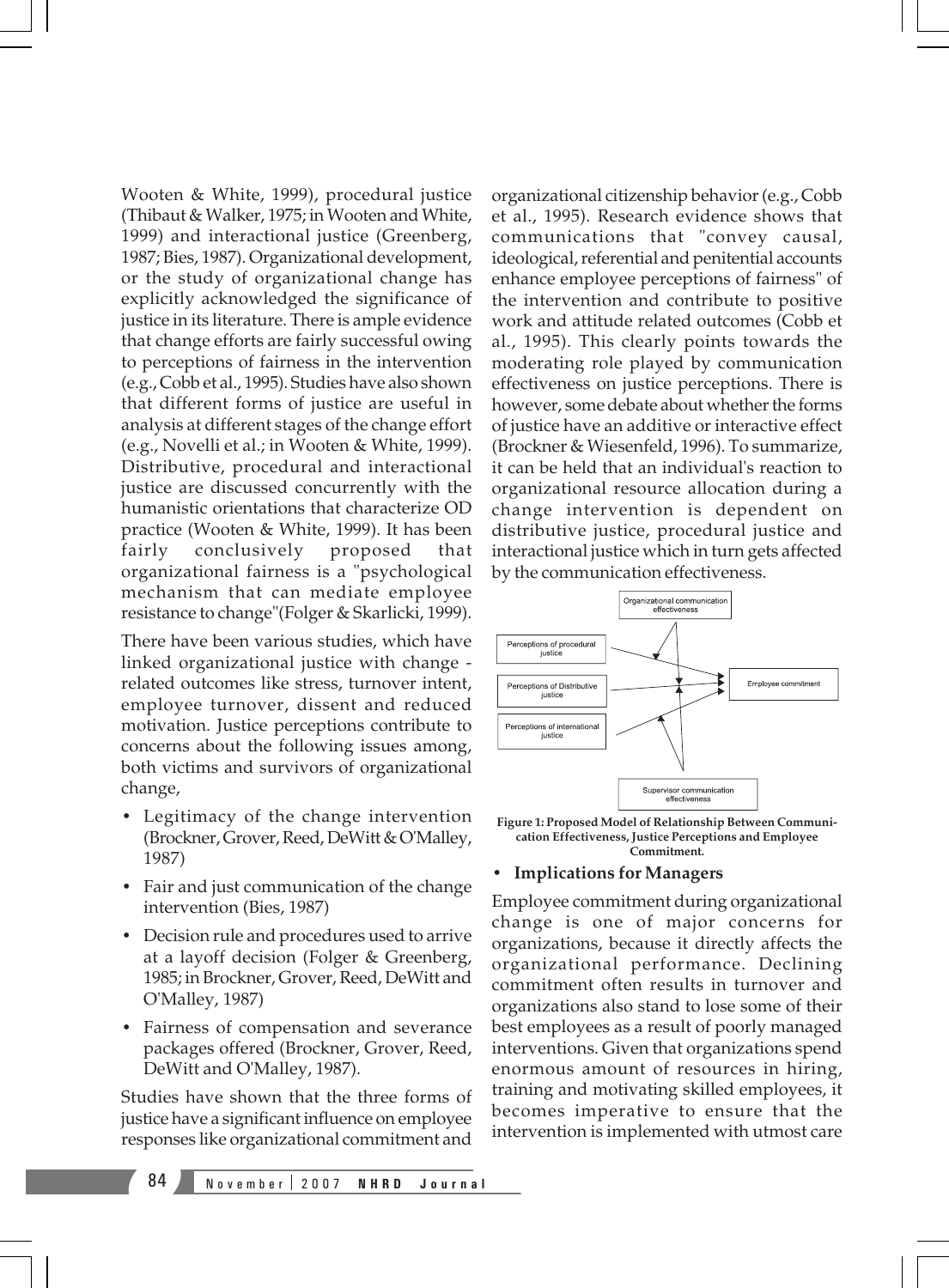Wooten & White, 1999), procedural justice (Thibaut & Walker, 1975; in Wooten and White, 1999) and interactional justice (Greenberg, 1987; Bies, 1987). Organizational development, or the study of organizational change has explicitly acknowledged the significance of justice in its literature. There is ample evidence that change efforts are fairly successful owing to perceptions of fairness in the intervention (e.g., Cobb et al., 1995). Studies have also shown that different forms of justice are useful in analysis at different stages of the change effort (e.g., Novelli et al.; in Wooten & White, 1999). Distributive, procedural and interactional justice are discussed concurrently with the humanistic orientations that characterize OD practice (Wooten & White, 1999). It has been fairly conclusively proposed that organizational fairness is a "psychological mechanism that can mediate employee resistance to change"(Folger & Skarlicki, 1999).

There have been various studies, which have linked organizational justice with change related outcomes like stress, turnover intent, employee turnover, dissent and reduced motivation. Justice perceptions contribute to concerns about the following issues among, both victims and survivors of organizational change,

- Legitimacy of the change intervention (Brockner, Grover, Reed, DeWitt & O'Malley, 1987)
- Fair and just communication of the change intervention (Bies, 1987)
- Decision rule and procedures used to arrive at a layoff decision (Folger & Greenberg, 1985; in Brockner, Grover, Reed, DeWitt and O'Malley, 1987)
- Fairness of compensation and severance packages offered (Brockner, Grover, Reed, DeWitt and O'Malley, 1987).

Studies have shown that the three forms of justice have a significant influence on employee responses like organizational commitment and

organizational citizenship behavior (e.g., Cobb et al., 1995). Research evidence shows that communications that "convey causal, ideological, referential and penitential accounts enhance employee perceptions of fairness" of the intervention and contribute to positive work and attitude related outcomes (Cobb et al., 1995). This clearly points towards the moderating role played by communication effectiveness on justice perceptions. There is however, some debate about whether the forms of justice have an additive or interactive effect (Brockner & Wiesenfeld, 1996). To summarize, it can be held that an individual's reaction to organizational resource allocation during a change intervention is dependent on distributive justice, procedural justice and interactional justice which in turn gets affected by the communication effectiveness.



**Figure 1: Proposed Model of Relationship Between Communication Effectiveness, Justice Perceptions and Employee Commitment.**

#### • **Implications for Managers**

Employee commitment during organizational change is one of major concerns for organizations, because it directly affects the organizational performance. Declining commitment often results in turnover and organizations also stand to lose some of their best employees as a result of poorly managed interventions. Given that organizations spend enormous amount of resources in hiring, training and motivating skilled employees, it becomes imperative to ensure that the intervention is implemented with utmost care